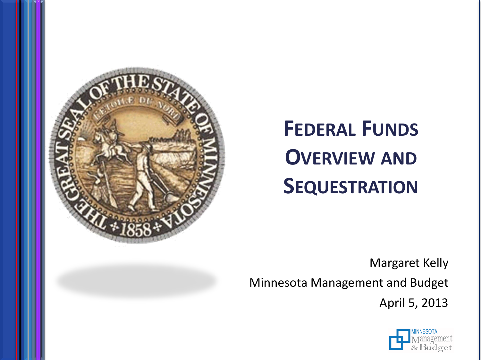

# **FEDERAL FUNDS OVERVIEW AND SEQUESTRATION**

Margaret Kelly

Minnesota Management and Budget

April 5, 2013

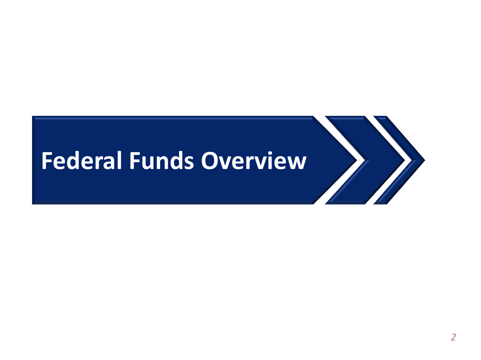## **Federal Funds Overview**

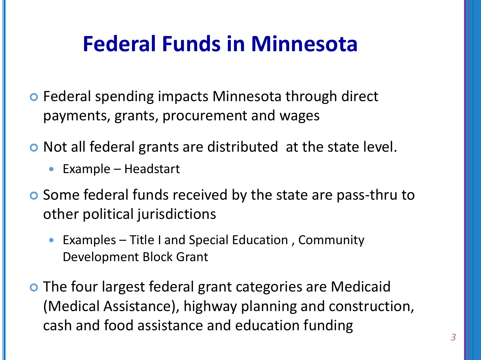## **Federal Funds in Minnesota**

- o Federal spending impacts Minnesota through direct payments, grants, procurement and wages
- o Not all federal grants are distributed at the state level.
	- Example Headstart
- **o** Some federal funds received by the state are pass-thru to other political jurisdictions
	- Examples Title I and Special Education, Community Development Block Grant
- **•** The four largest federal grant categories are Medicaid (Medical Assistance), highway planning and construction, cash and food assistance and education funding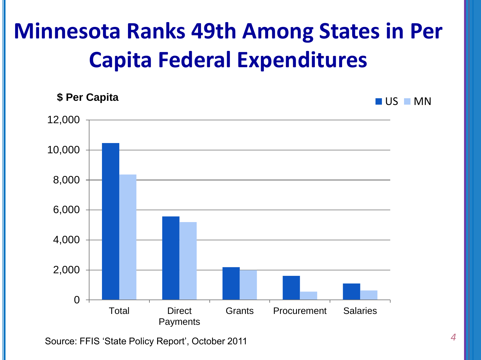## **Minnesota Ranks 49th Among States in Per Capita Federal Expenditures**



Source: FFIS 'State Policy Report', October 2011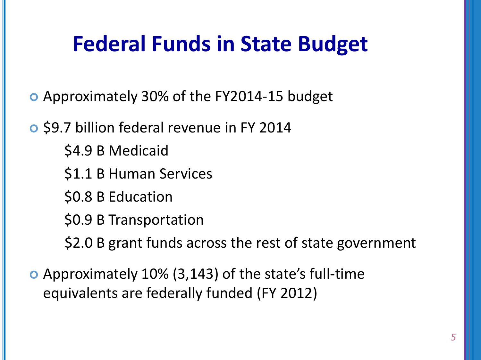## **Federal Funds in State Budget**

- Approximately 30% of the FY2014-15 budget
- \$9.7 billion federal revenue in FY 2014
	- \$4.9 B Medicaid
	- \$1.1 B Human Services
	- \$0.8 B Education
	- \$0.9 B Transportation
	- \$2.0 B grant funds across the rest of state government
- Approximately 10% (3,143) of the state's full-time equivalents are federally funded (FY 2012)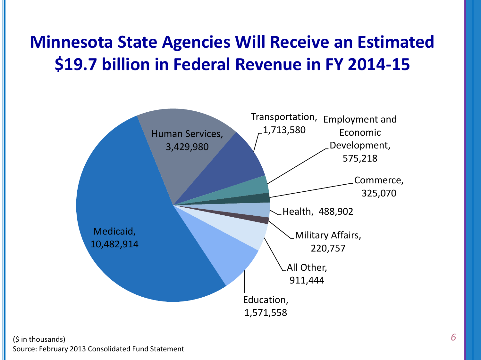#### **Minnesota State Agencies Will Receive an Estimated \$19.7 billion in Federal Revenue in FY 2014-15**

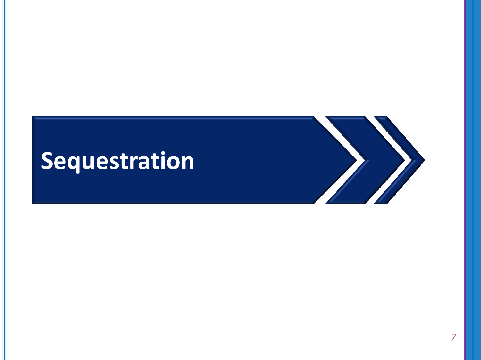# **Sequestration**

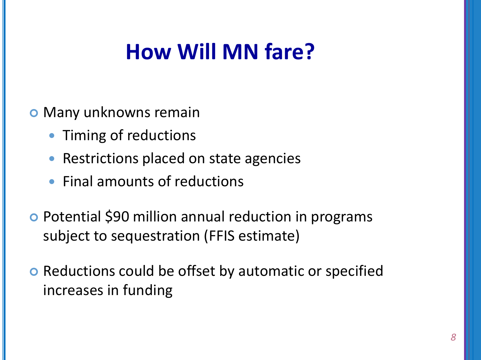## **How Will MN fare?**

- **o** Many unknowns remain
	- Timing of reductions
	- Restrictions placed on state agencies
	- Final amounts of reductions
- o Potential \$90 million annual reduction in programs subject to sequestration (FFIS estimate)
- **o** Reductions could be offset by automatic or specified increases in funding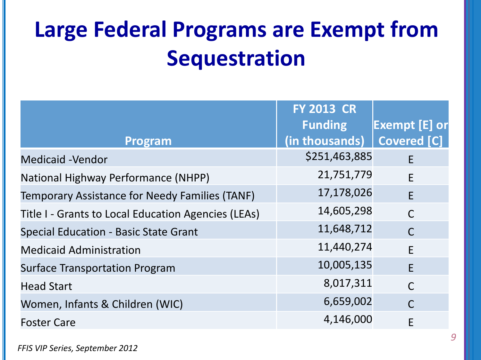## **Large Federal Programs are Exempt from Sequestration**

|                                                       | <b>FY 2013 CR</b> |                       |
|-------------------------------------------------------|-------------------|-----------------------|
|                                                       | <b>Funding</b>    | <b> Exempt [E] or</b> |
| Program                                               | (in thousands)    | <b>Covered [C]</b>    |
| <b>Medicaid -Vendor</b>                               | \$251,463,885     | F                     |
| National Highway Performance (NHPP)                   | 21,751,779        | F                     |
| <b>Temporary Assistance for Needy Families (TANF)</b> | 17,178,026        | F                     |
| Title I - Grants to Local Education Agencies (LEAs)   | 14,605,298        | $\mathsf{C}$          |
| <b>Special Education - Basic State Grant</b>          | 11,648,712        | $\mathsf{C}$          |
| <b>Medicaid Administration</b>                        | 11,440,274        | E                     |
| <b>Surface Transportation Program</b>                 | 10,005,135        | F                     |
| <b>Head Start</b>                                     | 8,017,311         | $\mathsf{C}$          |
| Women, Infants & Children (WIC)                       | 6,659,002         | $\mathsf{C}$          |
| <b>Foster Care</b>                                    | 4,146,000         | E                     |